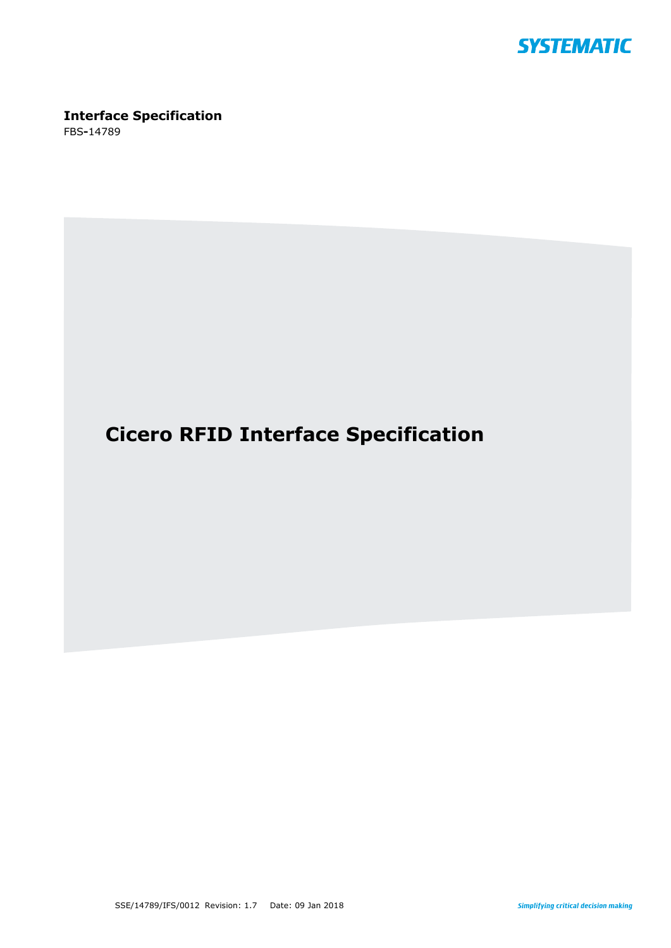

# **Interface Specification**

FBS**-**14789

# **Cicero RFID Interface Specification**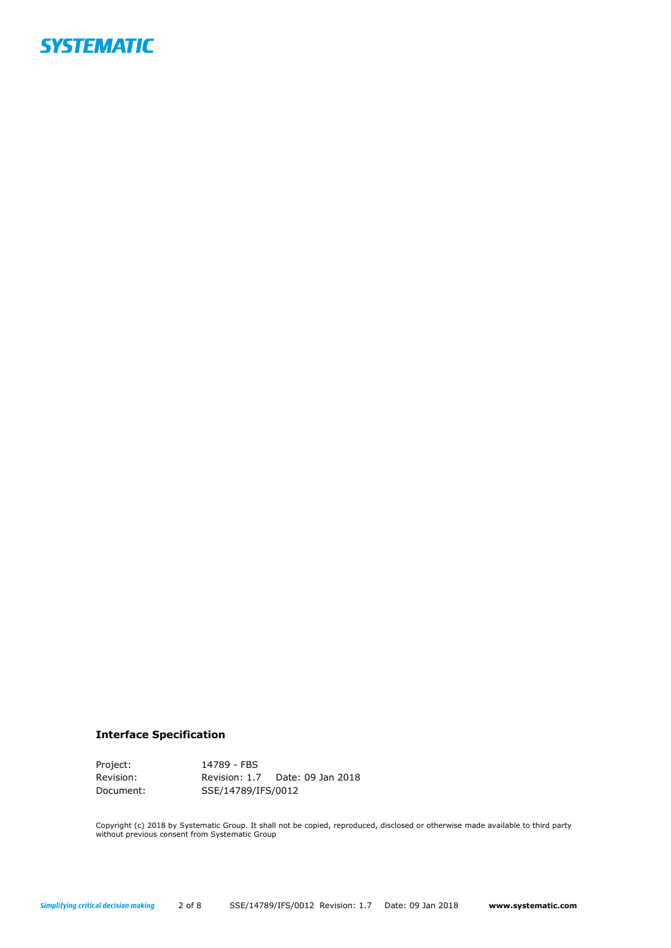

## **Interface Specification**

Project: 14789 - FBS Revision: Revision: 1.7 Date: 09 Jan 2018 Document: \$SSE/14789/IFS/0012

Copyright (c) 2018 by Systematic Group. It shall not be copied, reproduced, disclosed or otherwise made available to third party without previous consent from Systematic Group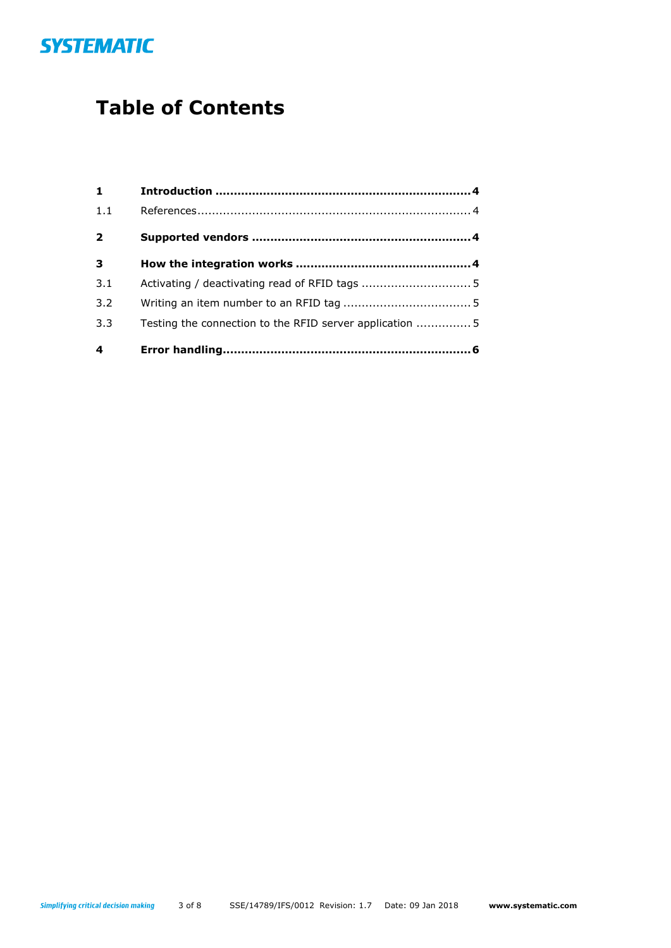

# **Table of Contents**

| $\mathbf{1}$            |                                                          |  |
|-------------------------|----------------------------------------------------------|--|
| 1.1                     |                                                          |  |
| $\overline{2}$          |                                                          |  |
| $\overline{\mathbf{3}}$ |                                                          |  |
| 3.1                     |                                                          |  |
| 3.2                     |                                                          |  |
| 3.3                     | Testing the connection to the RFID server application  5 |  |
| 4                       |                                                          |  |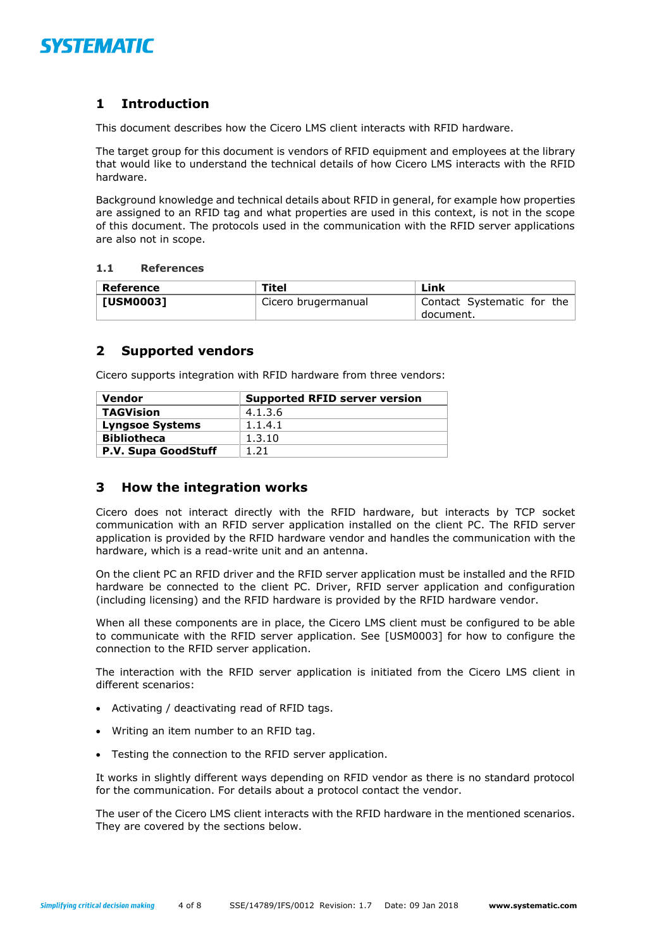

# <span id="page-3-0"></span>**1 Introduction**

This document describes how the Cicero LMS client interacts with RFID hardware.

The target group for this document is vendors of RFID equipment and employees at the library that would like to understand the technical details of how Cicero LMS interacts with the RFID hardware.

Background knowledge and technical details about RFID in general, for example how properties are assigned to an RFID tag and what properties are used in this context, is not in the scope of this document. The protocols used in the communication with the RFID server applications are also not in scope.

### <span id="page-3-1"></span>**1.1 References**

| Reference | Titel               | Link                                      |
|-----------|---------------------|-------------------------------------------|
| [USM0003] | Cicero brugermanual | Contact Systematic for the<br>` document. |

## <span id="page-3-2"></span>**2 Supported vendors**

Cicero supports integration with RFID hardware from three vendors:

| Vendor                 | <b>Supported RFID server version</b> |
|------------------------|--------------------------------------|
| <b>TAGVision</b>       | 4.1.3.6                              |
| <b>Lyngsoe Systems</b> | 1.1.4.1                              |
| <b>Bibliotheca</b>     | 1.3.10                               |
| P.V. Supa GoodStuff    | 1.21                                 |

# <span id="page-3-3"></span>**3 How the integration works**

Cicero does not interact directly with the RFID hardware, but interacts by TCP socket communication with an RFID server application installed on the client PC. The RFID server application is provided by the RFID hardware vendor and handles the communication with the hardware, which is a read-write unit and an antenna.

On the client PC an RFID driver and the RFID server application must be installed and the RFID hardware be connected to the client PC. Driver, RFID server application and configuration (including licensing) and the RFID hardware is provided by the RFID hardware vendor.

When all these components are in place, the Cicero LMS client must be configured to be able to communicate with the RFID server application. See [USM0003] for how to configure the connection to the RFID server application.

The interaction with the RFID server application is initiated from the Cicero LMS client in different scenarios:

- Activating / deactivating read of RFID tags.
- Writing an item number to an RFID tag.
- Testing the connection to the RFID server application.

It works in slightly different ways depending on RFID vendor as there is no standard protocol for the communication. For details about a protocol contact the vendor.

The user of the Cicero LMS client interacts with the RFID hardware in the mentioned scenarios. They are covered by the sections below.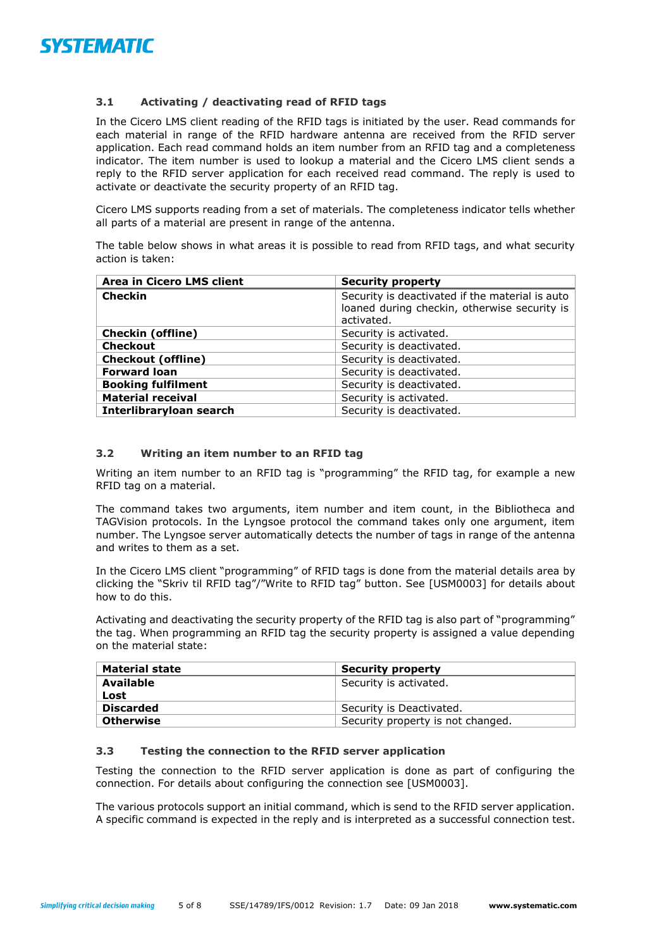

## <span id="page-4-0"></span>**3.1 Activating / deactivating read of RFID tags**

In the Cicero LMS client reading of the RFID tags is initiated by the user. Read commands for each material in range of the RFID hardware antenna are received from the RFID server application. Each read command holds an item number from an RFID tag and a completeness indicator. The item number is used to lookup a material and the Cicero LMS client sends a reply to the RFID server application for each received read command. The reply is used to activate or deactivate the security property of an RFID tag.

Cicero LMS supports reading from a set of materials. The completeness indicator tells whether all parts of a material are present in range of the antenna.

The table below shows in what areas it is possible to read from RFID tags, and what security action is taken:

| Area in Cicero LMS client | <b>Security property</b>                                                                        |
|---------------------------|-------------------------------------------------------------------------------------------------|
| <b>Checkin</b>            | Security is deactivated if the material is auto<br>loaned during checkin, otherwise security is |
|                           | activated.                                                                                      |
| <b>Checkin (offline)</b>  | Security is activated.                                                                          |
| <b>Checkout</b>           | Security is deactivated.                                                                        |
| <b>Checkout (offline)</b> | Security is deactivated.                                                                        |
| <b>Forward loan</b>       | Security is deactivated.                                                                        |
| <b>Booking fulfilment</b> | Security is deactivated.                                                                        |
| <b>Material receival</b>  | Security is activated.                                                                          |
| Interlibraryloan search   | Security is deactivated.                                                                        |

## <span id="page-4-1"></span>**3.2 Writing an item number to an RFID tag**

Writing an item number to an RFID tag is "programming" the RFID tag, for example a new RFID tag on a material.

The command takes two arguments, item number and item count, in the Bibliotheca and TAGVision protocols. In the Lyngsoe protocol the command takes only one argument, item number. The Lyngsoe server automatically detects the number of tags in range of the antenna and writes to them as a set.

In the Cicero LMS client "programming" of RFID tags is done from the material details area by clicking the "Skriv til RFID tag"/"Write to RFID tag" button. See [USM0003] for details about how to do this.

Activating and deactivating the security property of the RFID tag is also part of "programming" the tag. When programming an RFID tag the security property is assigned a value depending on the material state:

| <b>Material state</b> | <b>Security property</b>          |
|-----------------------|-----------------------------------|
| <b>Available</b>      | Security is activated.            |
| Lost                  |                                   |
| <b>Discarded</b>      | Security is Deactivated.          |
| <b>Otherwise</b>      | Security property is not changed. |

## <span id="page-4-2"></span>**3.3 Testing the connection to the RFID server application**

Testing the connection to the RFID server application is done as part of configuring the connection. For details about configuring the connection see [USM0003].

The various protocols support an initial command, which is send to the RFID server application. A specific command is expected in the reply and is interpreted as a successful connection test.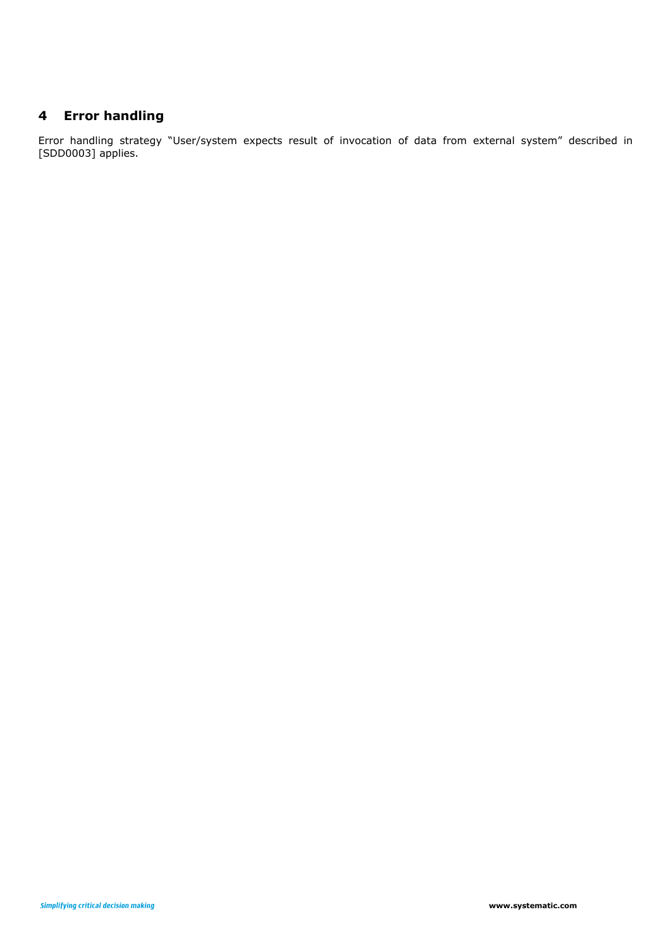# <span id="page-5-0"></span>**4 Error handling**

Error handling strategy "User/system expects result of invocation of data from external system" described in [SDD0003] applies.